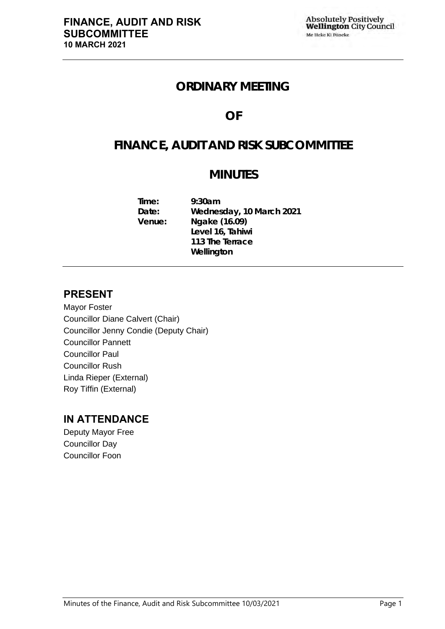## **ORDINARY MEETING**

## **OF**

## **FINANCE, AUDIT AND RISK SUBCOMMITTEE**

## **MINUTES**

**Time: 9:30am Date: Wednesday, 10 March 2021 Venue: Ngake (16.09) Level 16, Tahiwi 113 The Terrace Wellington**

## **PRESENT**

Mayor Foster Councillor Diane Calvert (Chair) Councillor Jenny Condie (Deputy Chair) Councillor Pannett Councillor Paul Councillor Rush Linda Rieper (External) Roy Tiffin (External)

## **IN ATTENDANCE**

Deputy Mayor Free Councillor Day Councillor Foon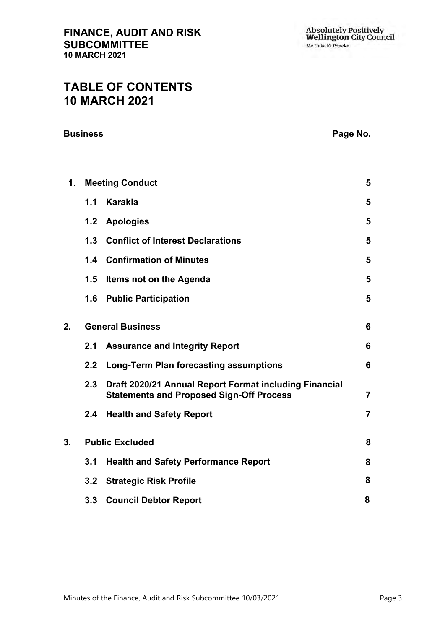## **TABLE OF CONTENTS 10 MARCH 2021**

**Business Page No.**

| 1. |                  | <b>Meeting Conduct</b>                                                                                    | 5              |
|----|------------------|-----------------------------------------------------------------------------------------------------------|----------------|
|    | 1.1              | <b>Karakia</b>                                                                                            | 5              |
|    | 1.2              | <b>Apologies</b>                                                                                          | 5              |
|    | 1.3              | <b>Conflict of Interest Declarations</b>                                                                  | 5              |
|    |                  | 1.4 Confirmation of Minutes                                                                               | 5              |
|    | 1.5              | Items not on the Agenda                                                                                   | 5              |
|    | 1.6              | <b>Public Participation</b>                                                                               | 5              |
| 2. |                  | <b>General Business</b>                                                                                   | 6              |
|    | 2.1              | <b>Assurance and Integrity Report</b>                                                                     | 6              |
|    | $2.2\phantom{0}$ | <b>Long-Term Plan forecasting assumptions</b>                                                             | 6              |
|    | 2.3              | Draft 2020/21 Annual Report Format including Financial<br><b>Statements and Proposed Sign-Off Process</b> | $\overline{7}$ |
|    | $2.4^{\circ}$    | <b>Health and Safety Report</b>                                                                           | $\overline{7}$ |
| 3. |                  | <b>Public Excluded</b>                                                                                    | 8              |
|    | 3.1              | <b>Health and Safety Performance Report</b>                                                               | 8              |
|    | 3.2              | <b>Strategic Risk Profile</b>                                                                             | 8              |
|    |                  | 3.3 Council Debtor Report                                                                                 | 8              |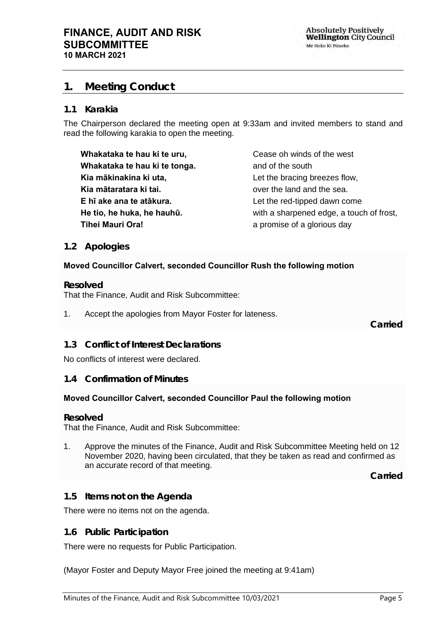**Absolutely Positively Wellington City Council** Me Heke Ki Põneke

### <span id="page-4-0"></span>**1. Meeting Conduct**

#### **1.1 Karakia**

The Chairperson declared the meeting open at 9:33am and invited members to stand and read the following karakia to open the meeting.

**Whakataka te hau ki te uru, Whakataka te hau ki te tonga. Kia mākinakina ki uta, Kia mātaratara ki tai. E hī ake ana te atākura. He tio, he huka, he hauhū. Tihei Mauri Ora!**

Cease oh winds of the west and of the south Let the bracing breezes flow, over the land and the sea. Let the red-tipped dawn come with a sharpened edge, a touch of frost, a promise of a glorious day

#### <span id="page-4-1"></span>**1.2 Apologies**

#### **Moved Councillor Calvert, seconded Councillor Rush the following motion**

**Resolved**

That the Finance, Audit and Risk Subcommittee:

1. Accept the apologies from Mayor Foster for lateness.

**Carried**

#### <span id="page-4-2"></span>**1.3 Conflict of Interest Declarations**

No conflicts of interest were declared.

#### <span id="page-4-3"></span>**1.4 Confirmation of Minutes**

#### **Moved Councillor Calvert, seconded Councillor Paul the following motion**

#### **Resolved**

That the Finance, Audit and Risk Subcommittee:

1. Approve the minutes of the Finance, Audit and Risk Subcommittee Meeting held on 12 November 2020, having been circulated, that they be taken as read and confirmed as an accurate record of that meeting.

**Carried**

#### <span id="page-4-4"></span>**1.5 Items not on the Agenda**

There were no items not on the agenda.

#### **1.6 Public Participation**

There were no requests for Public Participation.

(Mayor Foster and Deputy Mayor Free joined the meeting at 9:41am)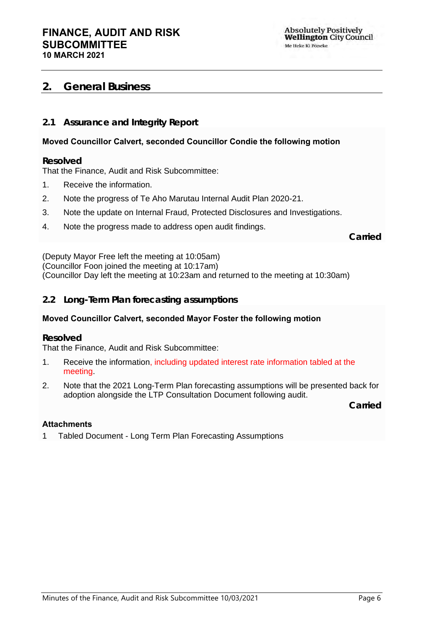## <span id="page-5-0"></span>**2. General Business**

#### <span id="page-5-1"></span>**2.1 Assurance and Integrity Report**

#### **Moved Councillor Calvert, seconded Councillor Condie the following motion**

#### **Resolved**

That the Finance, Audit and Risk Subcommittee:

- 1. Receive the information.
- 2. Note the progress of Te Aho Marutau Internal Audit Plan 2020-21.
- 3. Note the update on Internal Fraud, Protected Disclosures and Investigations.
- 4. Note the progress made to address open audit findings.

**Carried**

(Deputy Mayor Free left the meeting at 10:05am) (Councillor Foon joined the meeting at 10:17am) (Councillor Day left the meeting at 10:23am and returned to the meeting at 10:30am)

#### <span id="page-5-2"></span>**2.2 Long-Term Plan forecasting assumptions**

#### **Moved Councillor Calvert, seconded Mayor Foster the following motion**

#### **Resolved**

That the Finance, Audit and Risk Subcommittee:

- 1. Receive the information, including updated interest rate information tabled at the meeting.
- 2. Note that the 2021 Long-Term Plan forecasting assumptions will be presented back for adoption alongside the LTP Consultation Document following audit.

**Carried**

#### **Attachments**

1 Tabled Document - Long Term Plan Forecasting Assumptions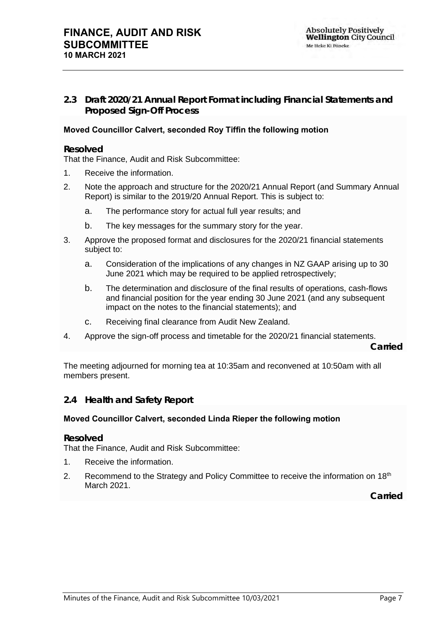<span id="page-6-0"></span>**2.3 Draft 2020/21 Annual Report Format including Financial Statements and Proposed Sign-Off Process**

#### **Moved Councillor Calvert, seconded Roy Tiffin the following motion**

#### **Resolved**

That the Finance, Audit and Risk Subcommittee:

- 1. Receive the information.
- 2. Note the approach and structure for the 2020/21 Annual Report (and Summary Annual Report) is similar to the 2019/20 Annual Report. This is subject to:
	- a. The performance story for actual full year results; and
	- b. The key messages for the summary story for the year.
- 3. Approve the proposed format and disclosures for the 2020/21 financial statements subject to:
	- a. Consideration of the implications of any changes in NZ GAAP arising up to 30 June 2021 which may be required to be applied retrospectively;
	- b. The determination and disclosure of the final results of operations, cash-flows and financial position for the year ending 30 June 2021 (and any subsequent impact on the notes to the financial statements); and
	- c. Receiving final clearance from Audit New Zealand.
- 4. Approve the sign-off process and timetable for the 2020/21 financial statements.

**Carried**

The meeting adjourned for morning tea at 10:35am and reconvened at 10:50am with all members present.

#### <span id="page-6-1"></span>**2.4 Health and Safety Report**

#### **Moved Councillor Calvert, seconded Linda Rieper the following motion**

#### **Resolved**

That the Finance, Audit and Risk Subcommittee:

- 1. Receive the information.
- 2. Recommend to the Strategy and Policy Committee to receive the information on  $18<sup>th</sup>$ March 2021.

**Carried**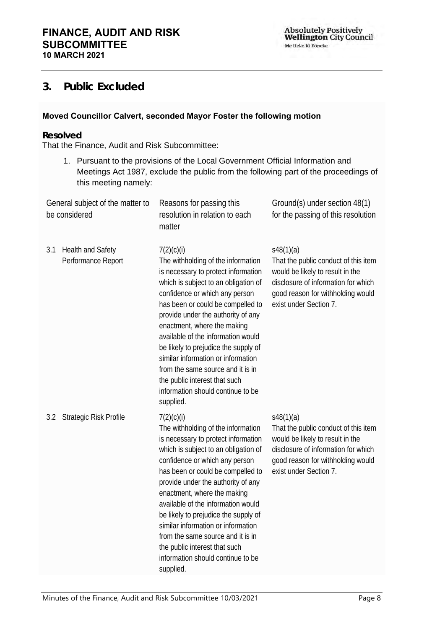**Absolutely Positively<br>Wellington City Council** Me Heke Ki Põneke

## <span id="page-7-0"></span>**3. Public Excluded**

#### **Moved Councillor Calvert, seconded Mayor Foster the following motion**

#### **Resolved**

That the Finance, Audit and Risk Subcommittee:

1. Pursuant to the provisions of the Local Government Official Information and Meetings Act 1987, exclude the public from the following part of the proceedings of this meeting namely:

| be considered                                  | General subject of the matter to | Reasons for passing this<br>resolution in relation to each<br>matter                                                                                                                                                                                                                                                                                                                                                                                                                                                    | Ground(s) under section 48(1)<br>for the passing of this resolution                                                                                                                         |  |  |  |
|------------------------------------------------|----------------------------------|-------------------------------------------------------------------------------------------------------------------------------------------------------------------------------------------------------------------------------------------------------------------------------------------------------------------------------------------------------------------------------------------------------------------------------------------------------------------------------------------------------------------------|---------------------------------------------------------------------------------------------------------------------------------------------------------------------------------------------|--|--|--|
| Health and Safety<br>3.1<br>Performance Report |                                  | 7(2)(c)(i)<br>The withholding of the information<br>is necessary to protect information<br>which is subject to an obligation of<br>confidence or which any person<br>has been or could be compelled to<br>provide under the authority of any<br>enactment, where the making<br>available of the information would<br>be likely to prejudice the supply of<br>similar information or information<br>from the same source and it is in<br>the public interest that such<br>information should continue to be<br>supplied. | s48(1)(a)<br>That the public conduct of this item<br>would be likely to result in the<br>disclosure of information for which<br>good reason for withholding would<br>exist under Section 7. |  |  |  |
| 3.2                                            | Strategic Risk Profile           | 7(2)(c)(i)<br>The withholding of the information<br>is necessary to protect information<br>which is subject to an obligation of<br>confidence or which any person<br>has been or could be compelled to<br>provide under the authority of any<br>enactment, where the making<br>available of the information would<br>be likely to prejudice the supply of<br>similar information or information<br>from the same source and it is in<br>the public interest that such<br>information should continue to be<br>supplied. | s48(1)(a)<br>That the public conduct of this item<br>would be likely to result in the<br>disclosure of information for which<br>good reason for withholding would<br>exist under Section 7. |  |  |  |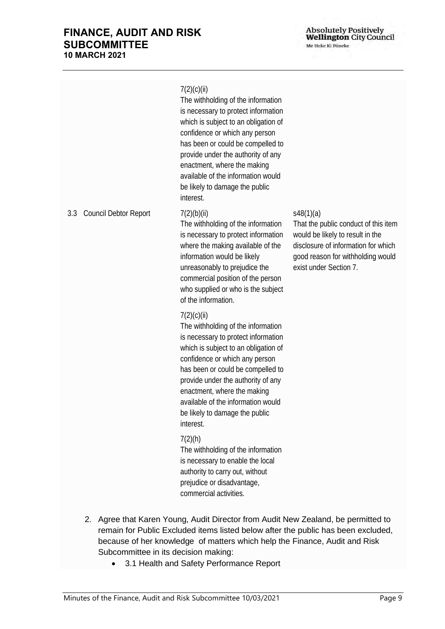Absolutely Positively<br>Wellington City Council Me Heke Ki Põneke

|     |                       | 7(2)(c)(ii)<br>The withholding of the information<br>is necessary to protect information<br>which is subject to an obligation of<br>confidence or which any person<br>has been or could be compelled to<br>provide under the authority of any<br>enactment, where the making<br>available of the information would<br>be likely to damage the public<br>interest. |                                                                                                                                                                                             |
|-----|-----------------------|-------------------------------------------------------------------------------------------------------------------------------------------------------------------------------------------------------------------------------------------------------------------------------------------------------------------------------------------------------------------|---------------------------------------------------------------------------------------------------------------------------------------------------------------------------------------------|
| 3.3 | Council Debtor Report | 7(2)(b)(ii)<br>The withholding of the information<br>is necessary to protect information<br>where the making available of the<br>information would be likely<br>unreasonably to prejudice the<br>commercial position of the person<br>who supplied or who is the subject<br>of the information.                                                                   | s48(1)(a)<br>That the public conduct of this item<br>would be likely to result in the<br>disclosure of information for which<br>good reason for withholding would<br>exist under Section 7. |
|     |                       | 7(2)(c)(ii)<br>The withholding of the information<br>is necessary to protect information<br>which is subject to an obligation of<br>confidence or which any person<br>has been or could be compelled to<br>provide under the authority of any<br>enactment, where the making<br>available of the information would<br>be likely to damage the public<br>interest. |                                                                                                                                                                                             |
|     |                       | 7(2)(h)<br>The withholding of the information<br>is necessary to enable the local<br>authority to carry out, without<br>prejudice or disadvantage,<br>commercial activities.                                                                                                                                                                                      |                                                                                                                                                                                             |

- 2. Agree that Karen Young, Audit Director from Audit New Zealand, be permitted to remain for Public Excluded items listed below after the public has been excluded, because of her knowledge of matters which help the Finance, Audit and Risk Subcommittee in its decision making:
	- 3.1 Health and Safety Performance Report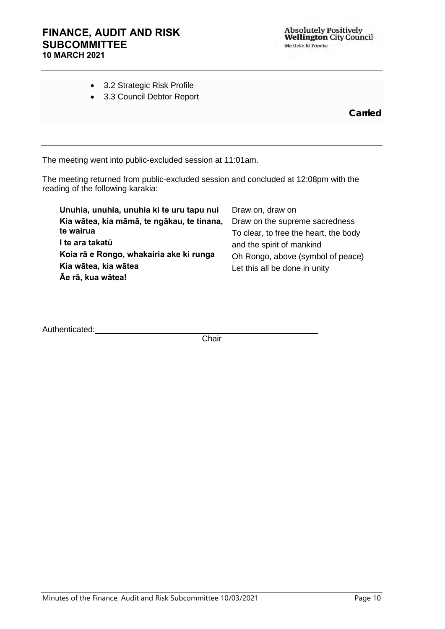|  |  | 3.2 Strategic Risk Profile |  |
|--|--|----------------------------|--|
|--|--|----------------------------|--|

• 3.3 Council Debtor Report

**Carried**

The meeting went into public-excluded session at 11:01am.

The meeting returned from public-excluded session and concluded at 12:08pm with the reading of the following karakia:

| Unuhia, unuhia, unuhia ki te uru tapu nui  | Draw on, draw on                      |
|--------------------------------------------|---------------------------------------|
| Kia wātea, kia māmā, te ngākau, te tinana, | Draw on the supreme sacredness        |
| te wairua                                  | To clear, to free the heart, the body |
| I te ara takatū                            | and the spirit of mankind             |
| Koia rā e Rongo, whakairia ake ki runga    | Oh Rongo, above (symbol of peace)     |
| Kia wātea, kia wātea                       | Let this all be done in unity         |
| Āe rā, kua wātea!                          |                                       |

Authenticated: **Mathematical Authenticated:** 

**Chair**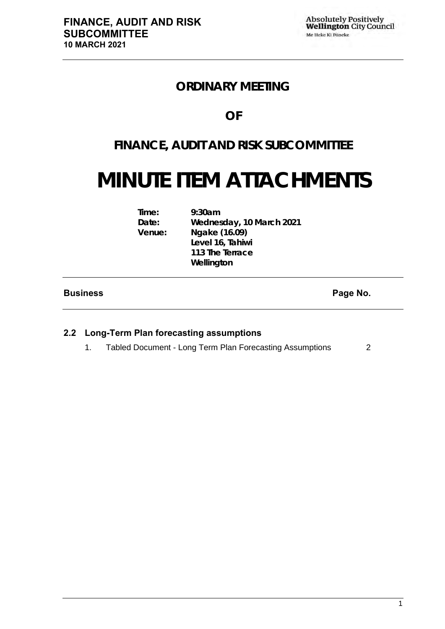## **ORDINARY MEETING**

## **OF**

## **FINANCE, AUDIT AND RISK SUBCOMMITTEE**

# **MINUTE ITEM ATTACHMENTS**

| Time:  | 9:30am                   |
|--------|--------------------------|
| Date:  | Wednesday, 10 March 2021 |
| Venue: | Ngake (16.09)            |
|        | Level 16, Tahiwi         |
|        | 113 The Terrace          |
|        | Wellington               |

#### **Business Page No.**

#### **2.2 Long-Term Plan forecasting assumptions**

1. Tabled Document - Long Term Plan Forecasting Assumptions [2](#page-11-0)